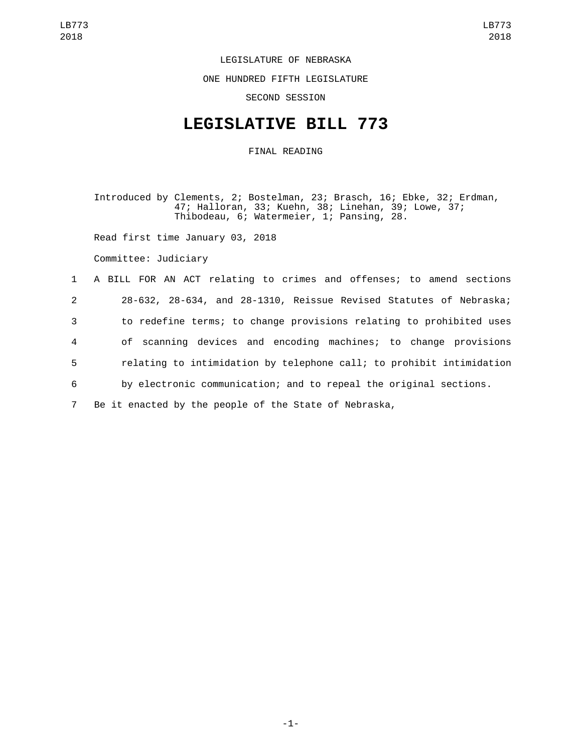## LEGISLATURE OF NEBRASKA

ONE HUNDRED FIFTH LEGISLATURE

SECOND SESSION

## **LEGISLATIVE BILL 773**

FINAL READING

Introduced by Clements, 2; Bostelman, 23; Brasch, 16; Ebke, 32; Erdman, 47; Halloran, 33; Kuehn, 38; Linehan, 39; Lowe, 37; Thibodeau, 6; Watermeier, 1; Pansing, 28.

Read first time January 03, 2018

Committee: Judiciary

 A BILL FOR AN ACT relating to crimes and offenses; to amend sections 28-632, 28-634, and 28-1310, Reissue Revised Statutes of Nebraska; to redefine terms; to change provisions relating to prohibited uses of scanning devices and encoding machines; to change provisions relating to intimidation by telephone call; to prohibit intimidation by electronic communication; and to repeal the original sections. Be it enacted by the people of the State of Nebraska,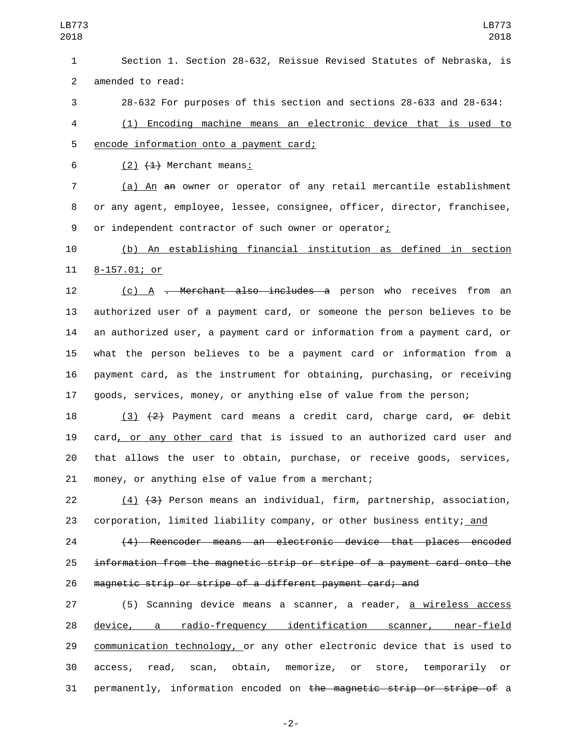Section 1. Section 28-632, Reissue Revised Statutes of Nebraska, is 2 amended to read:

28-632 For purposes of this section and sections 28-633 and 28-634:

 (1) Encoding machine means an electronic device that is used to 5 encode information onto a payment card;

6  $(2)$   $(4)$  Merchant means:

 (a) An an owner or operator of any retail mercantile establishment or any agent, employee, lessee, consignee, officer, director, franchisee, 9 or independent contractor of such owner or operator;

 (b) An establishing financial institution as defined in section 11 8-157.01; or

12 (c) A <del>. Merchant also includes a</del> person who receives from an authorized user of a payment card, or someone the person believes to be an authorized user, a payment card or information from a payment card, or what the person believes to be a payment card or information from a payment card, as the instrument for obtaining, purchasing, or receiving goods, services, money, or anything else of value from the person;

18 (3)  $\{2\}$  Payment card means a credit card, charge card,  $\Theta$  debit card, or any other card that is issued to an authorized card user and that allows the user to obtain, purchase, or receive goods, services, 21 money, or anything else of value from a merchant;

 (4) (3) Person means an individual, firm, partnership, association, 23 corporation, limited liability company, or other business entity; and

 (4) Reencoder means an electronic device that places encoded information from the magnetic strip or stripe of a payment card onto the magnetic strip or stripe of a different payment card; and

27 (5) Scanning device means a scanner, a reader, <u>a wireless access</u> device, a radio-frequency identification scanner, near-field communication technology, or any other electronic device that is used to access, read, scan, obtain, memorize, or store, temporarily or permanently, information encoded on the magnetic strip or stripe of a

-2-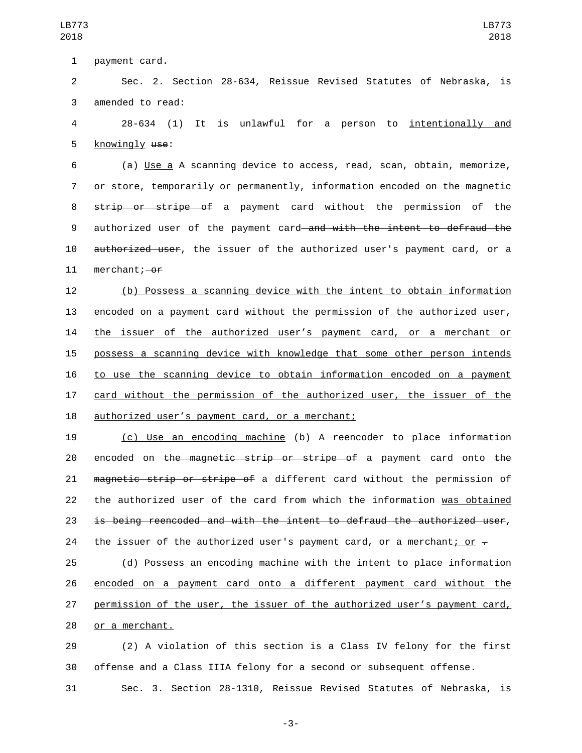1 payment card.

2 Sec. 2. Section 28-634, Reissue Revised Statutes of Nebraska, is 3 amended to read:

4 28-634 (1) It is unlawful for a person to intentionally and 5 knowingly use:

6 (a) Use a A scanning device to access, read, scan, obtain, memorize, 7 or store, temporarily or permanently, information encoded on the magnetic 8 strip or stripe of a payment card without the permission of the 9 authorized user of the payment card and with the intent to defraud the 10 authorized user, the issuer of the authorized user's payment card, or a 11 merchant; $-0f$ 

 (b) Possess a scanning device with the intent to obtain information 13 encoded on a payment card without the permission of the authorized user, the issuer of the authorized user's payment card, or a merchant or possess a scanning device with knowledge that some other person intends to use the scanning device to obtain information encoded on a payment card without the permission of the authorized user, the issuer of the 18 authorized user's payment card, or a merchant;

19 (c) Use an encoding machine (b) A reencoder to place information 20 encoded on the magnetic strip or stripe of a payment card onto the 21 magnetic strip or stripe of a different card without the permission of 22 the authorized user of the card from which the information was obtained 23 is being reencoded and with the intent to defraud the authorized user, 24 the issuer of the authorized user's payment card, or a merchant; or  $\overline{z}$ 

 (d) Possess an encoding machine with the intent to place information encoded on a payment card onto a different payment card without the permission of the user, the issuer of the authorized user's payment card, 28 or a merchant.

29 (2) A violation of this section is a Class IV felony for the first 30 offense and a Class IIIA felony for a second or subsequent offense.

31 Sec. 3. Section 28-1310, Reissue Revised Statutes of Nebraska, is

-3-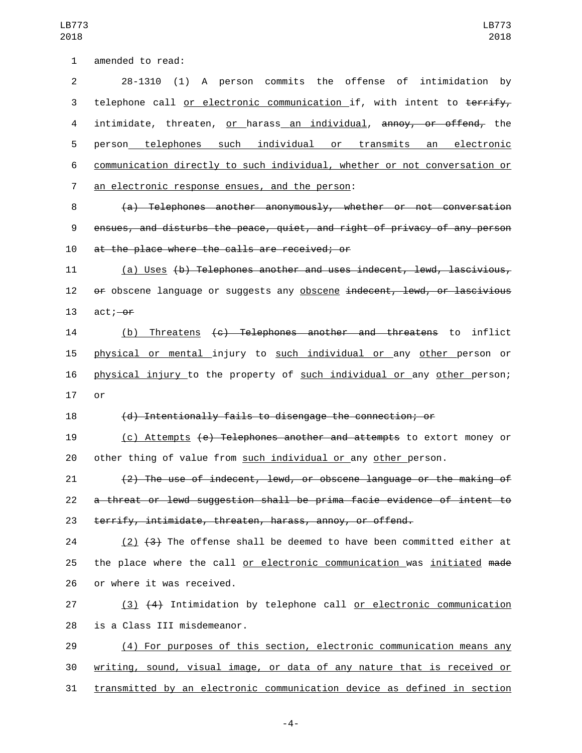1 amended to read:

 28-1310 (1) A person commits the offense of intimidation by 3 telephone call or electronic communication if, with intent to terrify, intimidate, threaten, or harass an individual, annoy, or offend, the person telephones such individual or transmits an electronic communication directly to such individual, whether or not conversation or 7 an electronic response ensues, and the person:

8 (a) Telephones another anonymously, whether or not conversation 9 ensues, and disturbs the peace, quiet, and right of privacy of any person 10 at the place where the calls are received; or

11 (a) Uses (b) Telephones another and uses indecent, lewd, lascivious, 12 of obscene language or suggests any obscene indecent, lewd, or lascivious 13  $act,-<sub>or</sub>$ 

14 (b) Threatens (c) Telephones another and threatens to inflict 15 physical or mental injury to such individual or any other person or 16 physical injury to the property of such individual or any other person; 17 or

18 (d) Intentionally fails to disengage the connection; or

19 (c) Attempts (e) Telephones another and attempts to extort money or 20 other thing of value from such individual or any other person.

21 (2) The use of indecent, lewd, or obscene language or the making of 22 a threat or lewd suggestion shall be prima facie evidence of intent to 23 terrify, intimidate, threaten, harass, annoy, or offend.

24 (2)  $(3)$  The offense shall be deemed to have been committed either at 25 the place where the call or electronic communication was initiated made 26 or where it was received.

27 (3) (4) Intimidation by telephone call or electronic communication 28 is a Class III misdemeanor.

29 (4) For purposes of this section, electronic communication means any 30 writing, sound, visual image, or data of any nature that is received or 31 transmitted by an electronic communication device as defined in section

-4-